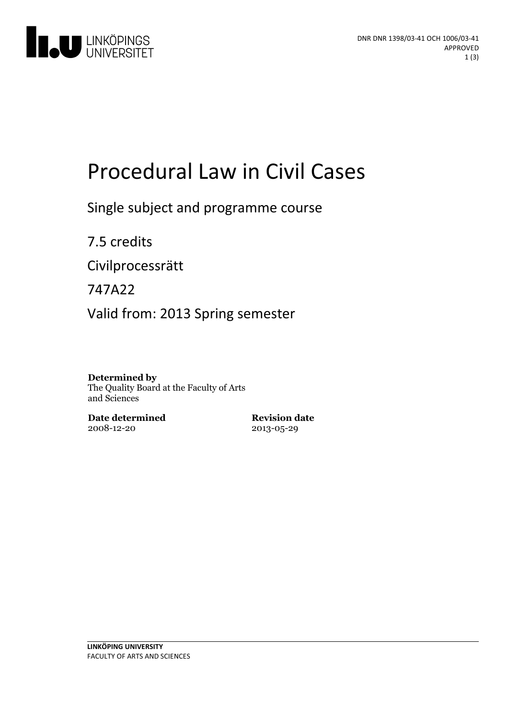

# Procedural Law in Civil Cases

Single subject and programme course

7.5 credits

Civilprocessrätt

747A22

Valid from: 2013 Spring semester

#### **Determined by**

The Quality Board at the Faculty of Arts and Sciences

**Date determined** 2008-12-20

**Revision date** 2013-05-29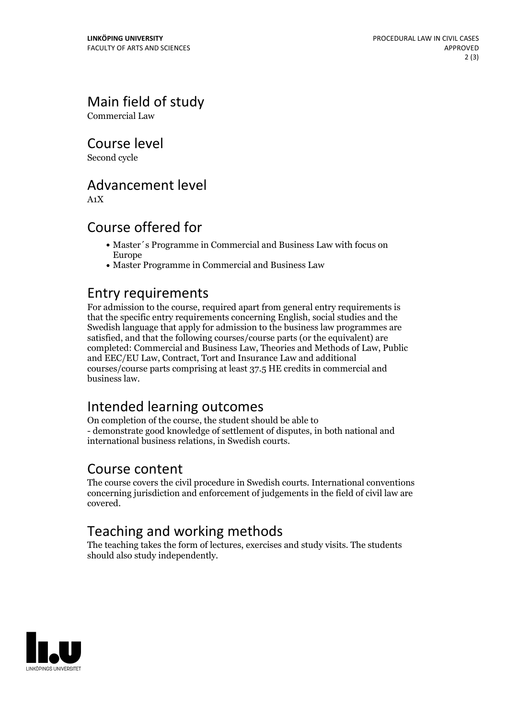Main field of study

Commercial Law

Course level

Second cycle

#### Advancement level

A1X

#### Course offered for

- Master´s Programme in Commercial and Business Law with focus on Europe
- Master Programme in Commercial and Business Law

#### Entry requirements

For admission to the course, required apart from general entry requirements is that the specific entry requirements concerning English, social studies and the Swedish language that apply for admission to the business law programmes are satisfied, and that the following courses/course parts (or the equivalent) are completed: Commercial and Business Law, Theories and Methods of Law, Public and EEC/EU Law, Contract, Tort and Insurance Law and additional courses/course parts comprising at least 37.5 HE credits in commercial and business law.

### Intended learning outcomes

On completion of the course, the student should be able to - demonstrate good knowledge of settlement of disputes, in both national and international business relations, in Swedish courts.

#### Course content

The course covers the civil procedure in Swedish courts. International conventions concerning jurisdiction and enforcement of judgements in the field of civil law are covered.

## Teaching and working methods

The teaching takes the form of lectures, exercises and study visits. The students should also study independently.